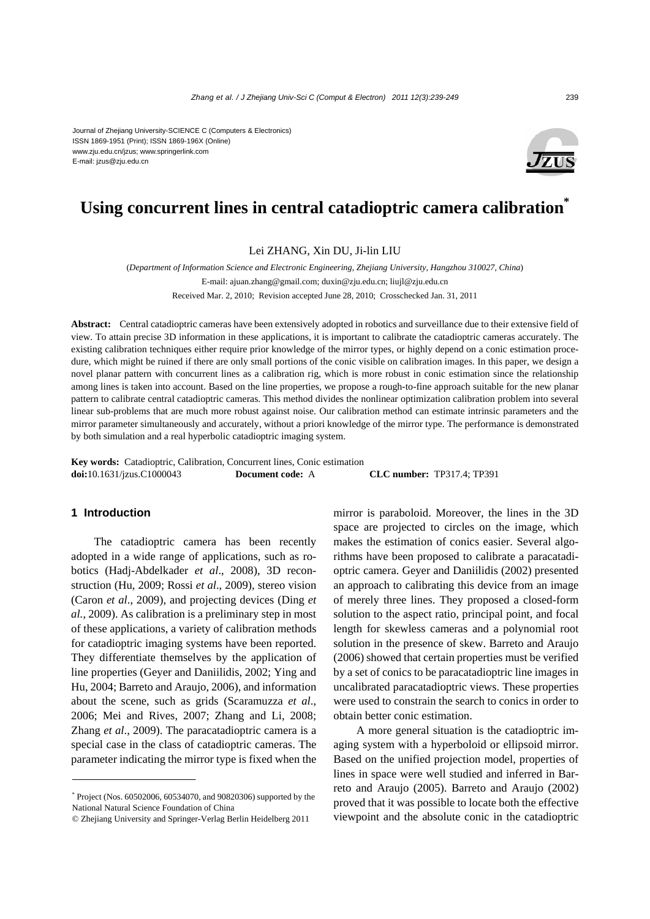Journal of Zhejiang University-SCIENCE C (Computers & Electronics) ISSN 1869-1951 (Print); ISSN 1869-196X (Online) www.zju.edu.cn/jzus; www.springerlink.com E-mail: jzus@zju.edu.cn



# **Using concurrent lines in central catadioptric camera calibration\***

Lei ZHANG, Xin DU, Ji-lin LIU

(*Department of Information Science and Electronic Engineering, Zhejiang University, Hangzhou 310027, China*) E-mail: ajuan.zhang@gmail.com; duxin@zju.edu.cn; liujl@zju.edu.cn Received Mar. 2, 2010; Revision accepted June 28, 2010; Crosschecked Jan. 31, 2011

**Abstract:** Central catadioptric cameras have been extensively adopted in robotics and surveillance due to their extensive field of view. To attain precise 3D information in these applications, it is important to calibrate the catadioptric cameras accurately. The existing calibration techniques either require prior knowledge of the mirror types, or highly depend on a conic estimation procedure, which might be ruined if there are only small portions of the conic visible on calibration images. In this paper, we design a novel planar pattern with concurrent lines as a calibration rig, which is more robust in conic estimation since the relationship among lines is taken into account. Based on the line properties, we propose a rough-to-fine approach suitable for the new planar pattern to calibrate central catadioptric cameras. This method divides the nonlinear optimization calibration problem into several linear sub-problems that are much more robust against noise. Our calibration method can estimate intrinsic parameters and the mirror parameter simultaneously and accurately, without a priori knowledge of the mirror type. The performance is demonstrated by both simulation and a real hyperbolic catadioptric imaging system.

**Key words:** Catadioptric, Calibration, Concurrent lines, Conic estimation **doi:**10.1631/jzus.C1000043 **Document code:** A **CLC number:** TP317.4; TP391

## **1 Introduction**

The catadioptric camera has been recently adopted in a wide range of applications, such as robotics (Hadj-Abdelkader *et al*., 2008), 3D reconstruction (Hu, 2009; Rossi *et al*., 2009), stereo vision (Caron *et al*., 2009), and projecting devices (Ding *et al.*, 2009). As calibration is a preliminary step in most of these applications, a variety of calibration methods for catadioptric imaging systems have been reported. They differentiate themselves by the application of line properties (Geyer and Daniilidis, 2002; Ying and Hu, 2004; Barreto and Araujo, 2006), and information about the scene, such as grids (Scaramuzza *et al*., 2006; Mei and Rives, 2007; Zhang and Li, 2008; Zhang *et al*., 2009). The paracatadioptric camera is a special case in the class of catadioptric cameras. The parameter indicating the mirror type is fixed when the

mirror is paraboloid. Moreover, the lines in the 3D space are projected to circles on the image, which makes the estimation of conics easier. Several algorithms have been proposed to calibrate a paracatadioptric camera. Geyer and Daniilidis (2002) presented an approach to calibrating this device from an image of merely three lines. They proposed a closed-form solution to the aspect ratio, principal point, and focal length for skewless cameras and a polynomial root solution in the presence of skew. Barreto and Araujo (2006) showed that certain properties must be verified by a set of conics to be paracatadioptric line images in uncalibrated paracatadioptric views. These properties were used to constrain the search to conics in order to obtain better conic estimation.

A more general situation is the catadioptric imaging system with a hyperboloid or ellipsoid mirror. Based on the unified projection model, properties of lines in space were well studied and inferred in Barreto and Araujo (2005). Barreto and Araujo (2002) proved that it was possible to locate both the effective viewpoint and the absolute conic in the catadioptric

<sup>\*</sup> Project (Nos. 60502006, 60534070, and 90820306) supported by the National Natural Science Foundation of China

<sup>©</sup> Zhejiang University and Springer-Verlag Berlin Heidelberg 2011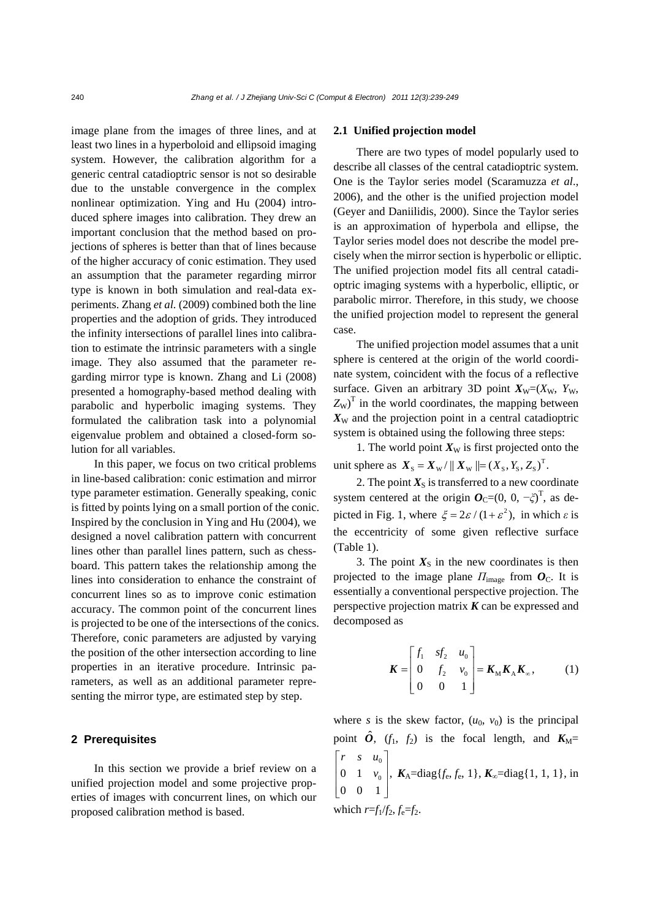image plane from the images of three lines, and at least two lines in a hyperboloid and ellipsoid imaging system. However, the calibration algorithm for a generic central catadioptric sensor is not so desirable due to the unstable convergence in the complex nonlinear optimization. Ying and Hu (2004) introduced sphere images into calibration. They drew an important conclusion that the method based on projections of spheres is better than that of lines because of the higher accuracy of conic estimation. They used an assumption that the parameter regarding mirror type is known in both simulation and real-data experiments. Zhang *et al.* (2009) combined both the line properties and the adoption of grids. They introduced the infinity intersections of parallel lines into calibration to estimate the intrinsic parameters with a single image. They also assumed that the parameter regarding mirror type is known. Zhang and Li (2008) presented a homography-based method dealing with parabolic and hyperbolic imaging systems. They formulated the calibration task into a polynomial eigenvalue problem and obtained a closed-form solution for all variables.

In this paper, we focus on two critical problems in line-based calibration: conic estimation and mirror type parameter estimation. Generally speaking, conic is fitted by points lying on a small portion of the conic. Inspired by the conclusion in Ying and Hu (2004), we designed a novel calibration pattern with concurrent lines other than parallel lines pattern, such as chessboard. This pattern takes the relationship among the lines into consideration to enhance the constraint of concurrent lines so as to improve conic estimation accuracy. The common point of the concurrent lines is projected to be one of the intersections of the conics. Therefore, conic parameters are adjusted by varying the position of the other intersection according to line properties in an iterative procedure. Intrinsic parameters, as well as an additional parameter representing the mirror type, are estimated step by step.

## **2 Prerequisites**

In this section we provide a brief review on a unified projection model and some projective properties of images with concurrent lines, on which our proposed calibration method is based.

#### **2.1 Unified projection model**

There are two types of model popularly used to describe all classes of the central catadioptric system. One is the Taylor series model (Scaramuzza *et al*., 2006), and the other is the unified projection model (Geyer and Daniilidis, 2000). Since the Taylor series is an approximation of hyperbola and ellipse, the Taylor series model does not describe the model precisely when the mirror section is hyperbolic or elliptic. The unified projection model fits all central catadioptric imaging systems with a hyperbolic, elliptic, or parabolic mirror. Therefore, in this study, we choose the unified projection model to represent the general case.

The unified projection model assumes that a unit sphere is centered at the origin of the world coordinate system, coincident with the focus of a reflective surface. Given an arbitrary 3D point  $X_{\text{W}}=(X_{\text{W}}, Y_{\text{W}}, Y_{\text{W}})$  $Z_W$ <sup>T</sup> in the world coordinates, the mapping between  $X<sub>W</sub>$  and the projection point in a central catadioptric system is obtained using the following three steps:

1. The world point  $X_W$  is first projected onto the unit sphere as  $X_{\rm s} = X_{\rm w}/\Vert X_{\rm w} \Vert = (X_{\rm s}, Y_{\rm s}, Z_{\rm s})^{\rm T}$ .

2. The point  $X_{\rm S}$  is transferred to a new coordinate system centered at the origin  $O_C=(0, 0, -\zeta)^T$ , as depicted in Fig. 1, where  $\xi = 2\varepsilon / (1 + \varepsilon^2)$ , in which  $\varepsilon$  is the eccentricity of some given reflective surface (Table 1).

3. The point  $X<sub>S</sub>$  in the new coordinates is then projected to the image plane  $\Pi_{\text{image}}$  from  $O_{\text{C}}$ . It is essentially a conventional perspective projection. The perspective projection matrix *K* can be expressed and decomposed as

$$
\boldsymbol{K} = \begin{bmatrix} f_1 & sf_2 & u_0 \\ 0 & f_2 & v_0 \\ 0 & 0 & 1 \end{bmatrix} = \boldsymbol{K}_{\mathrm{M}} \boldsymbol{K}_{\mathrm{A}} \boldsymbol{K}_{\mathrm{B}} \tag{1}
$$

where *s* is the skew factor,  $(u_0, v_0)$  is the principal point  $\hat{\boldsymbol{O}}$ ,  $(f_1, f_2)$  is the focal length, and  $K_M=$  $\mathbf{0}$  $0 \t 1 \t v_0,$ 00 1 *rsu v*  $\begin{bmatrix} r & s & u_0 \\ 0 & 1 & v_0 \\ 0 & 0 & 1 \end{bmatrix}$ *K*<sub>A</sub>=diag{*f*<sub>e</sub>, *f*<sub>e</sub>, 1}, *K*<sub>∞</sub>=diag{1, 1, 1}, in which  $r=f_1/f_2$ ,  $f_e=f_2$ .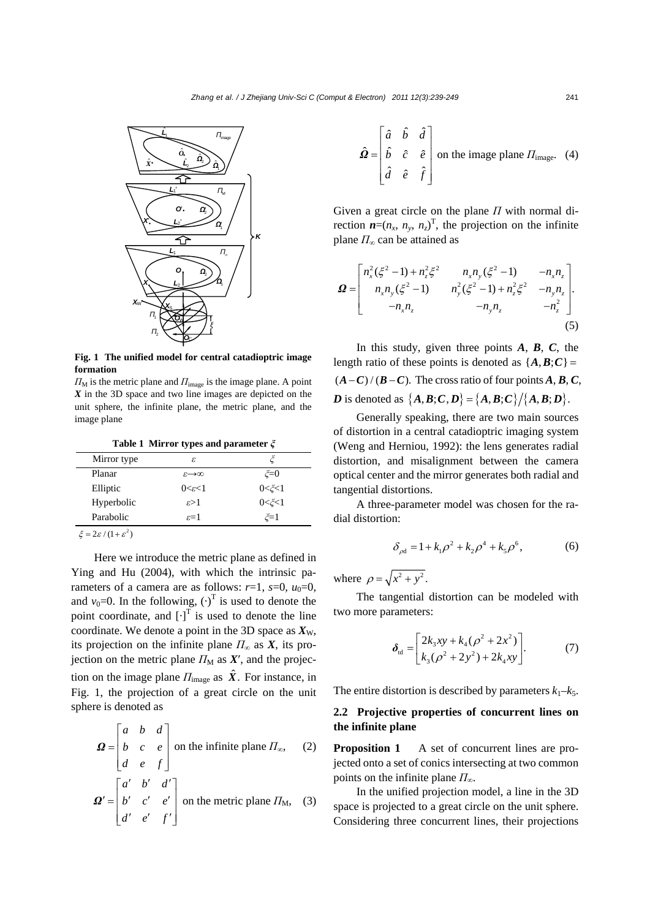

**Fig. 1 The unified model for central catadioptric image formation** 

 $\Pi_{\text{M}}$  is the metric plane and  $\Pi_{\text{image}}$  is the image plane. A point *X* in the 3D space and two line images are depicted on the unit sphere, the infinite plane, the metric plane, and the image plane

**Table 1 Mirror types and parameter** *ξ*

| Mirror type                              | ε                 |             |
|------------------------------------------|-------------------|-------------|
| Planar                                   | ക⇔                | $\zeta = 0$ |
| Elliptic                                 | $0<\epsilon<1$    | $0<\zeta<1$ |
| Hyperbolic                               | $\varepsilon > 1$ | $0<\zeta<1$ |
| Parabolic                                | $\varepsilon = 1$ | $\zeta = 1$ |
| $\sim$ $\mu$ $\sim$ $2\pi$<br>$\epsilon$ |                   |             |

 $\xi = 2\varepsilon / (1 + \varepsilon^2)$ 

Here we introduce the metric plane as defined in Ying and Hu (2004), with which the intrinsic parameters of a camera are as follows:  $r=1$ ,  $s=0$ ,  $u_0=0$ , and  $v_0$ =0. In the following,  $(\cdot)^T$  is used to denote the point coordinate, and  $[\cdot]$ <sup>T</sup> is used to denote the line coordinate. We denote a point in the 3D space as  $X_{W}$ , its projection on the infinite plane  $\Pi_{\infty}$  as  $X$ , its projection on the metric plane  $\Pi_M$  as  $X'$ , and the projection on the image plane  $\Pi_{\text{image}}$  as  $\hat{X}$ . For instance, in Fig. 1, the projection of a great circle on the unit sphere is denoted as

$$
\mathbf{\Omega} = \begin{bmatrix} a & b & d \\ b & c & e \\ d & e & f \end{bmatrix}
$$
 on the infinite plane  $\Pi_{\infty}$ , (2)  

$$
\mathbf{\Omega}' = \begin{bmatrix} a' & b' & d' \\ b' & c' & e' \\ d' & e' & f' \end{bmatrix}
$$
 on the metric plane  $\Pi_{\text{M}}$ , (3)

$$
\hat{\mathbf{\Omega}} = \begin{bmatrix} \hat{a} & \hat{b} & \hat{d} \\ \hat{b} & \hat{c} & \hat{e} \\ \hat{d} & \hat{e} & \hat{f} \end{bmatrix}
$$
 on the image plane  $\Pi_{\text{image}}$ . (4)

Given a great circle on the plane *Π* with normal direction  $\boldsymbol{n}=(n_x, n_y, n_z)^T$ , the projection on the infinite plane *Π*∞ can be attained as

$$
\mathbf{\Omega} = \begin{bmatrix} n_x^2 (\xi^2 - 1) + n_z^2 \xi^2 & n_x n_y (\xi^2 - 1) & -n_x n_z \\ n_x n_y (\xi^2 - 1) & n_y^2 (\xi^2 - 1) + n_z^2 \xi^2 & -n_y n_z \\ -n_x n_z & -n_y n_z & -n_z^2 \end{bmatrix}.
$$
\n(5)

In this study, given three points *A*, *B*, *C*, the length ratio of these points is denoted as  $\{A, B, C\}$  =  $(A - C)/(B - C)$ . The cross ratio of four points A, B, C, *D* is denoted as  $\{A, B, C, D\} = \{A, B, C\} / \{A, B, D\}$ .

Generally speaking, there are two main sources of distortion in a central catadioptric imaging system (Weng and Herniou, 1992): the lens generates radial distortion, and misalignment between the camera optical center and the mirror generates both radial and tangential distortions.

A three-parameter model was chosen for the radial distortion:

$$
\delta_{\rho d} = 1 + k_1 \rho^2 + k_2 \rho^4 + k_5 \rho^6, \tag{6}
$$

where  $\rho = \sqrt{x^2 + y^2}$ .

The tangential distortion can be modeled with two more parameters:

$$
\delta_{\rm td} = \begin{bmatrix} 2k_3xy + k_4(\rho^2 + 2x^2) \\ k_3(\rho^2 + 2y^2) + 2k_4xy \end{bmatrix} . \tag{7}
$$

The entire distortion is described by parameters  $k_1-k_5$ .

## **2.2 Projective properties of concurrent lines on the infinite plane**

**Proposition 1** A set of concurrent lines are projected onto a set of conics intersecting at two common points on the infinite plane *Π*∞.

In the unified projection model, a line in the 3D space is projected to a great circle on the unit sphere. Considering three concurrent lines, their projections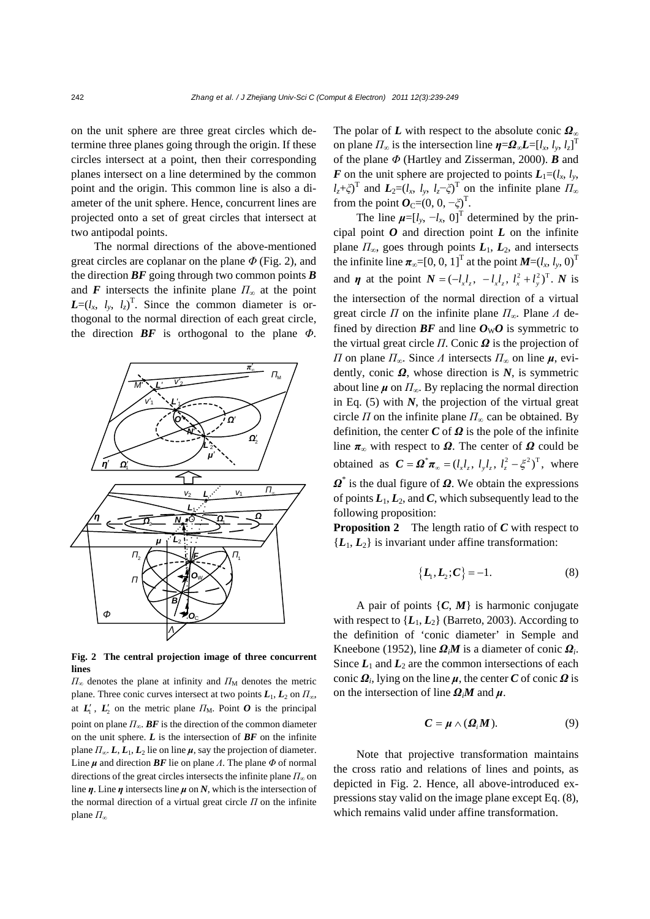on the unit sphere are three great circles which determine three planes going through the origin. If these circles intersect at a point, then their corresponding planes intersect on a line determined by the common point and the origin. This common line is also a diameter of the unit sphere. Hence, concurrent lines are projected onto a set of great circles that intersect at two antipodal points.

The normal directions of the above-mentioned great circles are coplanar on the plane *Φ* (Fig. 2), and the direction  $BF$  going through two common points  $\vec{B}$ and *F* intersects the infinite plane  $\Pi_{\infty}$  at the point  $L=(l_x, l_y, l_z)^T$ . Since the common diameter is orthogonal to the normal direction of each great circle, the direction *BF* is orthogonal to the plane *Φ*.



**Fig. 2 The central projection image of three concurrent lines** 

 $\Pi_{\infty}$  denotes the plane at infinity and  $\Pi_{\rm M}$  denotes the metric plane. Three conic curves intersect at two points  $L_1, L_2$  on  $\Pi_{\infty}$ , at  $L'_{1}$ ,  $L'_{2}$  on the metric plane  $\Pi_{M}$ . Point O is the principal point on plane  $\Pi_{\infty}$ . **BF** is the direction of the common diameter on the unit sphere. *L* is the intersection of *BF* on the infinite plane  $\Pi_{\infty}$ .  $\mathbf{L}, \mathbf{L}_1, \mathbf{L}_2$  lie on line  $\mu$ , say the projection of diameter. Line *μ* and direction *BF* lie on plane *Λ*. The plane *Φ* of normal directions of the great circles intersects the infinite plane  $\Pi_{\infty}$  on line *η*. Line *η* intersects line *μ* on *N*, which is the intersection of the normal direction of a virtual great circle *Π* on the infinite plane *Π*<sup>∞</sup>

The polar of *L* with respect to the absolute conic *Ω*<sup>∞</sup> on plane  $\Pi_{\infty}$  is the intersection line  $\eta = \Omega_{\infty} L = [l_x, l_y, l_z]^T$ of the plane *Φ* (Hartley and Zisserman, 2000). *B* and *F* on the unit sphere are projected to points  $L_1 = (l_x, l_y,$  $l_z$ +*ξ*)<sup>T</sup> and  $L_2=(l_x, l_y, l_z-\xi)$ <sup>T</sup> on the infinite plane  $\overline{H}_\infty$ from the point  $O_C=(0, 0, -\xi)^T$ .

The line  $\boldsymbol{\mu} = [l_y, -l_x, 0]^T$  determined by the principal point  $O$  and direction point  $L$  on the infinite plane *Π*∞, goes through points *L*1, *L*2, and intersects the infinite line  $\pi_{\infty}$ =[0, 0, 1]<sup>T</sup> at the point  $M=(l_x, l_y, 0)^T$ and *η* at the point  $N = (-l_x l_y, -l_x l_y, l_x^2 + l_y^2)^T$ . *N* is the intersection of the normal direction of a virtual great circle *Π* on the infinite plane *Π*∞. Plane *Λ* defined by direction  $BF$  and line  $O_{\rm W}O$  is symmetric to the virtual great circle *Π*. Conic *Ω* is the projection of *Π* on plane *Π*∞. Since *Λ* intersects *Π*∞ on line *μ*, evidently, conic *Ω*, whose direction is *N*, is symmetric about line  $\mu$  on  $\Pi_{\infty}$ . By replacing the normal direction in Eq.  $(5)$  with *N*, the projection of the virtual great circle  $\Pi$  on the infinite plane  $\Pi_{\infty}$  can be obtained. By definition, the center *C* of *Ω* is the pole of the infinite line  $\pi_{\infty}$  with respect to  $\Omega$ . The center of  $\Omega$  could be obtained as  $C = \Omega^* \pi_{\infty} = (l_x l_z, l_y l_z, l_z^2 - \xi^2)^T$ , where *Ω*\* is the dual figure of *Ω*. We obtain the expressions of points  $L_1, L_2$ , and  $C$ , which subsequently lead to the following proposition:

**Proposition 2** The length ratio of *C* with respect to  ${L_1, L_2}$  is invariant under affine transformation:

$$
\{L_1, L_2; C\} = -1.
$$
 (8)

A pair of points  $\{C, M\}$  is harmonic conjugate with respect to  $\{L_1, L_2\}$  (Barreto, 2003). According to the definition of 'conic diameter' in Semple and Kneebone (1952), line  $\Omega_i M$  is a diameter of conic  $\Omega_i$ . Since  $L_1$  and  $L_2$  are the common intersections of each conic  $\Omega_i$ , lying on the line  $\mu$ , the center *C* of conic  $\Omega$  is on the intersection of line  $\Omega_i M$  and  $\mu$ .

$$
C = \mu \wedge (\Omega_i M). \tag{9}
$$

Note that projective transformation maintains the cross ratio and relations of lines and points, as depicted in Fig. 2. Hence, all above-introduced expressions stay valid on the image plane except Eq. (8), which remains valid under affine transformation.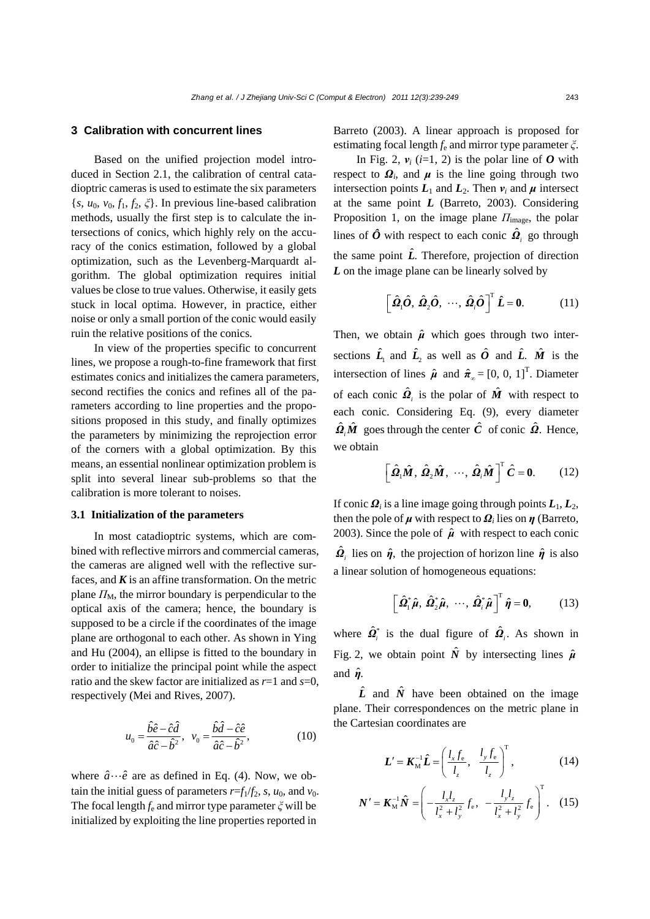## **3 Calibration with concurrent lines**

Based on the unified projection model introduced in Section 2.1, the calibration of central catadioptric cameras is used to estimate the six parameters {*s*,  $u_0$ ,  $v_0$ ,  $f_1$ ,  $f_2$ ,  $\xi$ }. In previous line-based calibration methods, usually the first step is to calculate the intersections of conics, which highly rely on the accuracy of the conics estimation, followed by a global optimization, such as the Levenberg-Marquardt algorithm. The global optimization requires initial values be close to true values. Otherwise, it easily gets stuck in local optima. However, in practice, either noise or only a small portion of the conic would easily ruin the relative positions of the conics.

In view of the properties specific to concurrent lines, we propose a rough-to-fine framework that first estimates conics and initializes the camera parameters, second rectifies the conics and refines all of the parameters according to line properties and the propositions proposed in this study, and finally optimizes the parameters by minimizing the reprojection error of the corners with a global optimization. By this means, an essential nonlinear optimization problem is split into several linear sub-problems so that the calibration is more tolerant to noises.

### **3.1 Initialization of the parameters**

In most catadioptric systems, which are combined with reflective mirrors and commercial cameras, the cameras are aligned well with the reflective surfaces, and  $K$  is an affine transformation. On the metric plane  $\Pi_M$ , the mirror boundary is perpendicular to the optical axis of the camera; hence, the boundary is supposed to be a circle if the coordinates of the image plane are orthogonal to each other. As shown in Ying and Hu (2004), an ellipse is fitted to the boundary in order to initialize the principal point while the aspect ratio and the skew factor are initialized as *r*=1 and *s*=0, respectively (Mei and Rives, 2007).

$$
u_0 = \frac{\hat{b}\hat{e} - \hat{c}\hat{d}}{\hat{a}\hat{c} - \hat{b}^2}, \quad v_0 = \frac{\hat{b}\hat{d} - \hat{c}\hat{e}}{\hat{a}\hat{c} - \hat{b}^2},\tag{10}
$$

where  $\hat{a} \cdots \hat{e}$  are as defined in Eq. (4). Now, we obtain the initial guess of parameters  $r=f_1/f_2$ , s,  $u_0$ , and  $v_0$ . The focal length *f*e and mirror type parameter *ξ* will be initialized by exploiting the line properties reported in Barreto (2003). A linear approach is proposed for estimating focal length *f*e and mirror type parameter *ξ*.

In Fig. 2,  $v_i$  ( $i=1, 2$ ) is the polar line of  $O$  with respect to  $\Omega_i$ , and  $\mu$  is the line going through two intersection points  $L_1$  and  $L_2$ . Then  $v_i$  and  $\mu$  intersect at the same point *L* (Barreto, 2003). Considering Proposition 1, on the image plane *Π*image, the polar lines of  $\hat{O}$  with respect to each conic  $\hat{Q}$ <sub>i</sub> go through the same point  $\hat{L}$ . Therefore, projection of direction *L* on the image plane can be linearly solved by

$$
\left[\hat{\Omega}_i\hat{O}, \hat{\Omega}_2\hat{O}, \cdots, \hat{\Omega}_i\hat{O}\right]^T \hat{L} = 0.
$$
 (11)

Then, we obtain  $\hat{\mu}$  which goes through two intersections  $\hat{\mathbf{L}}_1$  and  $\hat{\mathbf{L}}_2$  as well as  $\hat{\mathbf{O}}$  and  $\hat{\mathbf{L}}$ .  $\hat{\mathbf{M}}$  is the intersection of lines  $\hat{\boldsymbol{\mu}}$  and  $\hat{\boldsymbol{\pi}}_{\infty} = [0, 0, 1]^T$ . Diameter of each conic  $\hat{\mathbf{\Omega}}_i$  is the polar of  $\hat{\mathbf{M}}$  with respect to each conic. Considering Eq. (9), every diameter  $\hat{\mathbf{\Omega}}_i \hat{\mathbf{\mathcal{M}}}$  goes through the center  $\hat{C}$  of conic  $\hat{\mathbf{\Omega}}$ . Hence, we obtain

$$
\left[\hat{\Omega}_1 \hat{M}, \hat{\Omega}_2 \hat{M}, \cdots, \hat{\Omega}_i \hat{M}\right]^T \hat{C} = 0. \qquad (12)
$$

If conic  $\mathbf{Q}_i$  is a line image going through points  $\mathbf{L}_1, \mathbf{L}_2$ , then the pole of  $\mu$  with respect to  $\Omega_i$  lies on  $\eta$  (Barreto, 2003). Since the pole of  $\hat{\mu}$  with respect to each conic  $\hat{\Omega}$ , lies on  $\hat{\eta}$ , the projection of horizon line  $\hat{\eta}$  is also a linear solution of homogeneous equations:

$$
\left[\hat{\Omega}_{1}^{*}\hat{\boldsymbol{\mu}},\,\hat{\Omega}_{2}^{*}\hat{\boldsymbol{\mu}},\,\,\cdots,\,\hat{\boldsymbol{\Omega}}_{i}^{*}\hat{\boldsymbol{\mu}}\right]^{\mathrm{T}}\hat{\boldsymbol{\eta}}=\mathbf{0},\qquad\qquad(13)
$$

where  $\hat{\mathbf{\Omega}}_i^*$  is the dual figure of  $\hat{\mathbf{\Omega}}_i$ . As shown in Fig. 2, we obtain point  $\hat{N}$  by intersecting lines  $\hat{\mu}$ and *η*ˆ.

 $\hat{L}$  and  $\hat{N}$  have been obtained on the image plane. Their correspondences on the metric plane in the Cartesian coordinates are

$$
\boldsymbol{L}' = \boldsymbol{K}_{\mathrm{M}}^{-1} \hat{\boldsymbol{L}} = \left(\frac{l_x f_{\mathrm{e}}}{l_z}, \frac{l_y f_{\mathrm{e}}}{l_z}\right)^{\mathrm{T}},\tag{14}
$$

$$
\mathbf{N}' = \mathbf{K}_{\rm M}^{-1} \hat{\mathbf{N}} = \left( -\frac{l_x l_z}{l_x^2 + l_y^2} f_{\rm e}, -\frac{l_y l_z}{l_x^2 + l_y^2} f_{\rm e} \right)^{\rm T}. \quad (15)
$$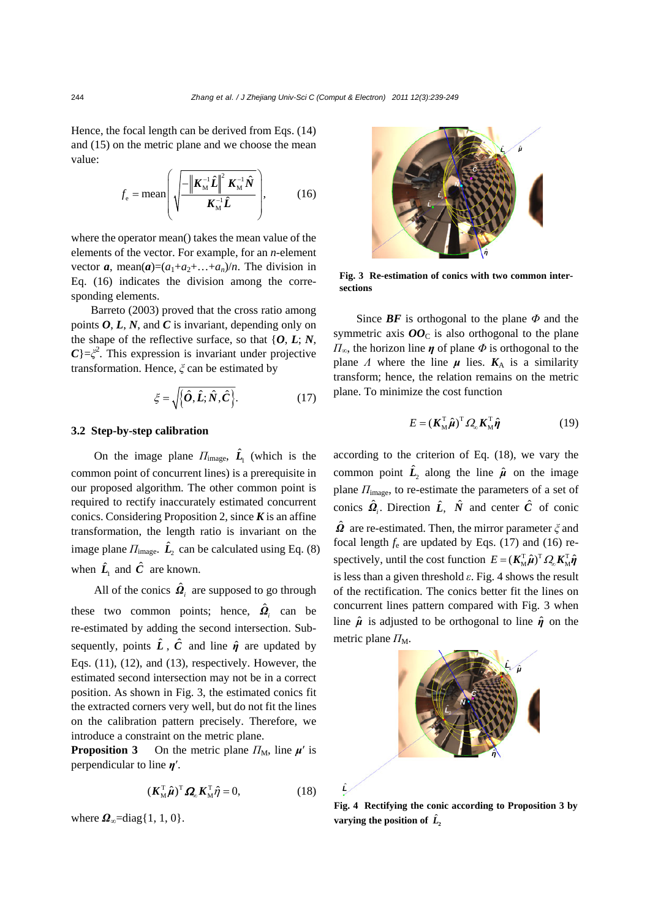Hence, the focal length can be derived from Eqs. (14) and (15) on the metric plane and we choose the mean value:

$$
f_{\rm e} = \text{mean}\left(\sqrt{\frac{-\left|\mathbf{K}_{\rm M}^{-1}\hat{\mathbf{L}}\right|^2 \mathbf{K}_{\rm M}^{-1}\hat{\mathbf{N}}}{\mathbf{K}_{\rm M}^{-1}\hat{\mathbf{L}}}}\right),\tag{16}
$$

where the operator mean() takes the mean value of the elements of the vector. For example, for an *n*-element vector  $\boldsymbol{a}$ , mean $(\boldsymbol{a})=(a_1+a_2+\ldots+a_n)/n$ . The division in Eq. (16) indicates the division among the corresponding elements.

Barreto (2003) proved that the cross ratio among points  $O, L, N$ , and  $C$  is invariant, depending only on the shape of the reflective surface, so that  $\{O, L, N\}$ ,  $C$ }= $\xi^2$ . This expression is invariant under projective transformation. Hence, *ξ* can be estimated by

$$
\xi = \sqrt{\{\hat{\boldsymbol{O}}, \hat{\boldsymbol{L}}; \hat{N}, \hat{\boldsymbol{C}}\}}.
$$
 (17)

#### **3.2 Step-by-step calibration**

On the image plane  $\Pi_{\text{image}}$ ,  $\hat{L}_1$  (which is the common point of concurrent lines) is a prerequisite in our proposed algorithm. The other common point is required to rectify inaccurately estimated concurrent conics. Considering Proposition 2, since *K* is an affine transformation, the length ratio is invariant on the image plane  $\Pi_{\text{image}}$ .  $\hat{L}$  can be calculated using Eq. (8) when  $\hat{L}_1$  and  $\hat{C}$  are known.

All of the conics  $\hat{\Omega}$ <sub>*i*</sub> are supposed to go through these two common points; hence,  $\hat{\mathbf{\Omega}}_i$  can be re-estimated by adding the second intersection. Subsequently, points  $\hat{L}$ ,  $\hat{C}$  and line  $\hat{\eta}$  are updated by Eqs. (11), (12), and (13), respectively. However, the estimated second intersection may not be in a correct position. As shown in Fig. 3, the estimated conics fit the extracted corners very well, but do not fit the lines on the calibration pattern precisely. Therefore, we introduce a constraint on the metric plane.

**Proposition 3** On the metric plane  $\Pi_M$ , line  $\mu'$  is perpendicular to line *η*′.

$$
(\boldsymbol{K}_{\mathbf{M}}^{\mathrm{T}}\boldsymbol{\hat{\mu}})^{\mathrm{T}}\boldsymbol{\varOmega}_{\mathrm{D}}\boldsymbol{K}_{\mathbf{M}}^{\mathrm{T}}\boldsymbol{\hat{\eta}}=0, \qquad (18)
$$

ˆ *L*

where  $\Omega_{\infty}$ =diag{1, 1, 0}.



**Fig. 3 Re-estimation of conics with two common intersections** 

Since *BF* is orthogonal to the plane *Φ* and the symmetric axis  $OO<sub>C</sub>$  is also orthogonal to the plane *Π*∞, the horizon line *η* of plane *Φ* is orthogonal to the plane *Λ* where the line  $\mu$  lies.  $K_A$  is a similarity transform; hence, the relation remains on the metric plane. To minimize the cost function

$$
E = (\mathbf{K}_{\mathbf{M}}^{\mathrm{T}} \hat{\boldsymbol{\mu}})^{\mathrm{T}} \Omega_{\boldsymbol{\omega}} \mathbf{K}_{\mathbf{M}}^{\mathrm{T}} \hat{\boldsymbol{\eta}}
$$
 (19)

according to the criterion of Eq. (18), we vary the common point  $\hat{L}$ <sup>2</sup> along the line  $\hat{\mu}$  on the image plane *Π*image, to re-estimate the parameters of a set of conics  $\hat{\mathbf{\Omega}}_i$ . Direction  $\hat{\mathbf{L}}$ ,  $\hat{\mathbf{N}}$  and center  $\hat{\mathbf{C}}$  of conic *Ω*ˆ are re-estimated. Then, the mirror parameter *ξ* and focal length  $f_e$  are updated by Eqs. (17) and (16) respectively, until the cost function  $E = (K_M^T \hat{\boldsymbol{\mu}})^T \Omega_{\boldsymbol{\omega}} K_M^T \hat{\boldsymbol{\eta}}$ is less than a given threshold  $\varepsilon$ . Fig. 4 shows the result of the rectification. The conics better fit the lines on concurrent lines pattern compared with Fig. 3 when line  $\hat{\mu}$  is adjusted to be orthogonal to line  $\hat{\eta}$  on the metric plane  $\Pi_{\text{M}}$ .



**Fig. 4 Rectifying the conic according to Proposition 3 by**  varying the position of  $\hat{L}_2$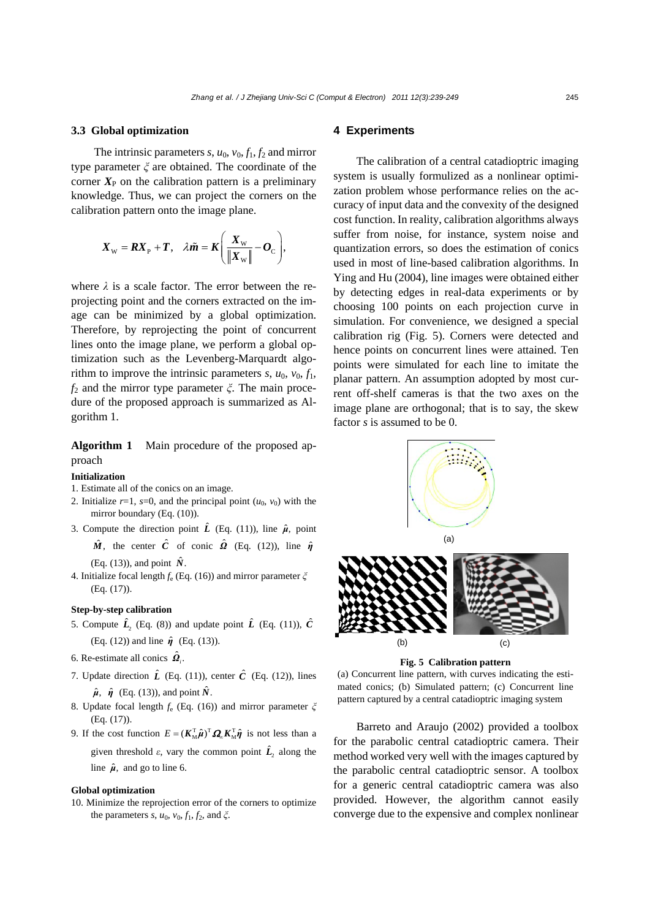#### **3.3 Global optimization**

The intrinsic parameters  $s$ ,  $u_0$ ,  $v_0$ ,  $f_1$ ,  $f_2$  and mirror type parameter *ξ* are obtained. The coordinate of the corner  $X_{\rm P}$  on the calibration pattern is a preliminary knowledge. Thus, we can project the corners on the calibration pattern onto the image plane.

$$
\boldsymbol{X}_{\mathrm{w}} = \boldsymbol{R} \boldsymbol{X}_{\mathrm{p}} + \boldsymbol{T}, \quad \lambda \tilde{\boldsymbol{m}} = \boldsymbol{K} \left( \frac{\boldsymbol{X}_{\mathrm{w}}}{\|\boldsymbol{X}_{\mathrm{w}}\|} - \boldsymbol{O}_{\mathrm{C}} \right),
$$

where  $\lambda$  is a scale factor. The error between the reprojecting point and the corners extracted on the image can be minimized by a global optimization. Therefore, by reprojecting the point of concurrent lines onto the image plane, we perform a global optimization such as the Levenberg-Marquardt algorithm to improve the intrinsic parameters  $s$ ,  $u_0$ ,  $v_0$ ,  $f_1$ , *f*2 and the mirror type parameter *ξ*. The main procedure of the proposed approach is summarized as Algorithm 1.

**Algorithm 1** Main procedure of the proposed approach

#### **Initialization**

- 1. Estimate all of the conics on an image.
- 2. Initialize  $r=1$ ,  $s=0$ , and the principal point  $(u_0, v_0)$  with the mirror boundary (Eq. (10)).
- 3. Compute the direction point  $\hat{L}$  (Eq. (11)), line  $\hat{\mu}$ , point  $\hat{M}$ , the center  $\hat{C}$  of conic  $\hat{\Omega}$  (Eq. (12)), line  $\hat{\eta}$

(Eq. (13)), and point  $\hat{N}$ .

4. Initialize focal length *f*e (Eq. (16)) and mirror parameter *ξ* (Eq. (17)).

## **Step-by-step calibration**

- 5. Compute  $\hat{L}$ <sub>2</sub> (Eq. (8)) and update point  $\hat{L}$  (Eq. (11)),  $\hat{C}$ (Eq. (12)) and line *η*ˆ (Eq. (13)).
- 6. Re-estimate all conics  $\hat{\mathbf{Q}}_i$ .
- 7. Update direction  $\hat{L}$  (Eq. (11)), center  $\hat{C}$  (Eq. (12)), lines  $\hat{\mu}$ ,  $\hat{\eta}$  (Eq. (13)), and point  $\hat{N}$ .
- 8. Update focal length *f*e (Eq. (16)) and mirror parameter *ξ* (Eq. (17)).
- 9. If the cost function  $E = (K_M^T \hat{\boldsymbol{\mu}})^T \Omega_{\infty} K_M^T \hat{\boldsymbol{\eta}}$  is not less than a given threshold  $\varepsilon$ , vary the common point  $\hat{L}$ <sub>2</sub> along the line  $\hat{\mu}$ , and go to line 6.

### **Global optimization**

10. Minimize the reprojection error of the corners to optimize the parameters *s*,  $u_0$ ,  $v_0$ ,  $f_1$ ,  $f_2$ , and  $\xi$ .

## **4 Experiments**

The calibration of a central catadioptric imaging system is usually formulized as a nonlinear optimization problem whose performance relies on the accuracy of input data and the convexity of the designed cost function. In reality, calibration algorithms always suffer from noise, for instance, system noise and quantization errors, so does the estimation of conics used in most of line-based calibration algorithms. In Ying and Hu (2004), line images were obtained either by detecting edges in real-data experiments or by choosing 100 points on each projection curve in simulation. For convenience, we designed a special calibration rig (Fig. 5). Corners were detected and hence points on concurrent lines were attained. Ten points were simulated for each line to imitate the planar pattern. An assumption adopted by most current off-shelf cameras is that the two axes on the image plane are orthogonal; that is to say, the skew factor *s* is assumed to be 0.



**Fig. 5 Calibration pattern** 

(a) Concurrent line pattern, with curves indicating the estimated conics; (b) Simulated pattern; (c) Concurrent line pattern captured by a central catadioptric imaging system

Barreto and Araujo (2002) provided a toolbox for the parabolic central catadioptric camera. Their method worked very well with the images captured by the parabolic central catadioptric sensor. A toolbox for a generic central catadioptric camera was also provided. However, the algorithm cannot easily converge due to the expensive and complex nonlinear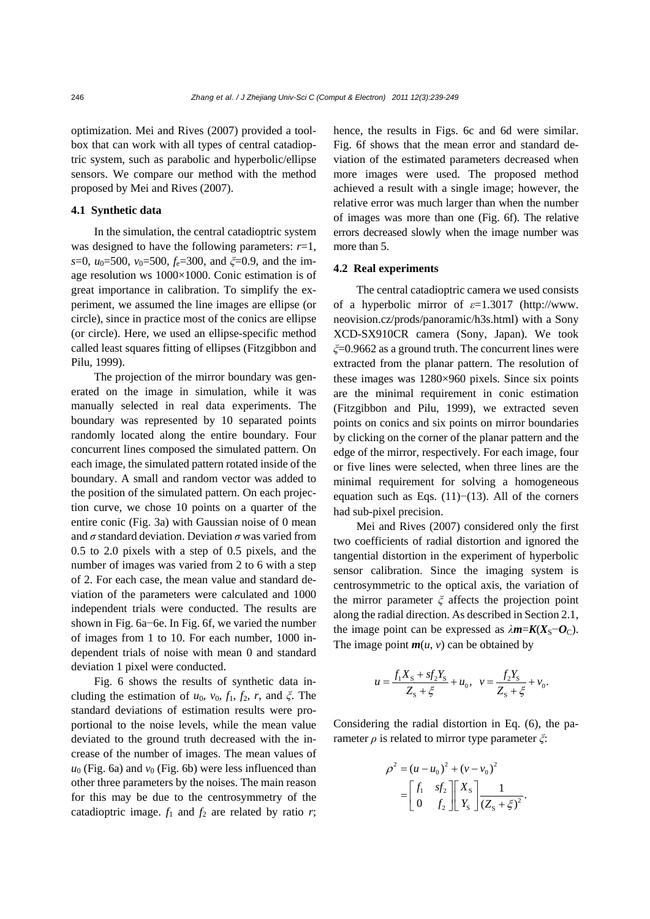optimization. Mei and Rives (2007) provided a toolbox that can work with all types of central catadioptric system, such as parabolic and hyperbolic/ellipse sensors. We compare our method with the method proposed by Mei and Rives (2007).

## **4.1 Synthetic data**

In the simulation, the central catadioptric system was designed to have the following parameters:  $r=1$ , *s*=0, *u*<sub>0</sub>=500, *v*<sub>0</sub>=500, *f*<sub>e</sub>=300, and *ξ*=0.9, and the image resolution ws 1000×1000. Conic estimation is of great importance in calibration. To simplify the experiment, we assumed the line images are ellipse (or circle), since in practice most of the conics are ellipse (or circle). Here, we used an ellipse-specific method called least squares fitting of ellipses (Fitzgibbon and Pilu, 1999).

The projection of the mirror boundary was generated on the image in simulation, while it was manually selected in real data experiments. The boundary was represented by 10 separated points randomly located along the entire boundary. Four concurrent lines composed the simulated pattern. On each image, the simulated pattern rotated inside of the boundary. A small and random vector was added to the position of the simulated pattern. On each projection curve, we chose 10 points on a quarter of the entire conic (Fig. 3a) with Gaussian noise of 0 mean and *σ* standard deviation. Deviation *σ* was varied from 0.5 to 2.0 pixels with a step of 0.5 pixels, and the number of images was varied from 2 to 6 with a step of 2. For each case, the mean value and standard deviation of the parameters were calculated and 1000 independent trials were conducted. The results are shown in Fig. 6a−6e. In Fig. 6f, we varied the number of images from 1 to 10. For each number, 1000 independent trials of noise with mean 0 and standard deviation 1 pixel were conducted.

Fig. 6 shows the results of synthetic data including the estimation of  $u_0$ ,  $v_0$ ,  $f_1$ ,  $f_2$ ,  $r$ , and  $\xi$ . The standard deviations of estimation results were proportional to the noise levels, while the mean value deviated to the ground truth decreased with the increase of the number of images. The mean values of  $u_0$  (Fig. 6a) and  $v_0$  (Fig. 6b) were less influenced than other three parameters by the noises. The main reason for this may be due to the centrosymmetry of the catadioptric image.  $f_1$  and  $f_2$  are related by ratio  $r$ ;

hence, the results in Figs. 6c and 6d were similar. Fig. 6f shows that the mean error and standard deviation of the estimated parameters decreased when more images were used. The proposed method achieved a result with a single image; however, the relative error was much larger than when the number of images was more than one (Fig. 6f). The relative errors decreased slowly when the image number was more than 5.

## **4.2 Real experiments**

The central catadioptric camera we used consists of a hyperbolic mirror of *ε*=1.3017 (http://www. neovision.cz/prods/panoramic/h3s.html) with a Sony XCD-SX910CR camera (Sony, Japan). We took *ξ*=0.9662 as a ground truth. The concurrent lines were extracted from the planar pattern. The resolution of these images was 1280×960 pixels. Since six points are the minimal requirement in conic estimation (Fitzgibbon and Pilu, 1999), we extracted seven points on conics and six points on mirror boundaries by clicking on the corner of the planar pattern and the edge of the mirror, respectively. For each image, four or five lines were selected, when three lines are the minimal requirement for solving a homogeneous equation such as Eqs. (11)−(13). All of the corners had sub-pixel precision.

Mei and Rives (2007) considered only the first two coefficients of radial distortion and ignored the tangential distortion in the experiment of hyperbolic sensor calibration. Since the imaging system is centrosymmetric to the optical axis, the variation of the mirror parameter *ξ* affects the projection point along the radial direction. As described in Section 2.1, the image point can be expressed as  $\lambda$ *m*= $K(X_S - O_C)$ . The image point  $m(u, v)$  can be obtained by

$$
u = \frac{f_1 X_s + s f_2 Y_s}{Z_s + \xi} + u_0, \quad v = \frac{f_2 Y_s}{Z_s + \xi} + v_0.
$$

Considering the radial distortion in Eq. (6), the parameter *ρ* is related to mirror type parameter *ξ*:

$$
\rho^{2} = (u - u_{0})^{2} + (v - v_{0})^{2}
$$

$$
= \begin{bmatrix} f_{1} & sf_{2} \\ 0 & f_{2} \end{bmatrix} \begin{bmatrix} X_{s} \\ Y_{s} \end{bmatrix} \frac{1}{(Z_{s} + \xi)^{2}}.
$$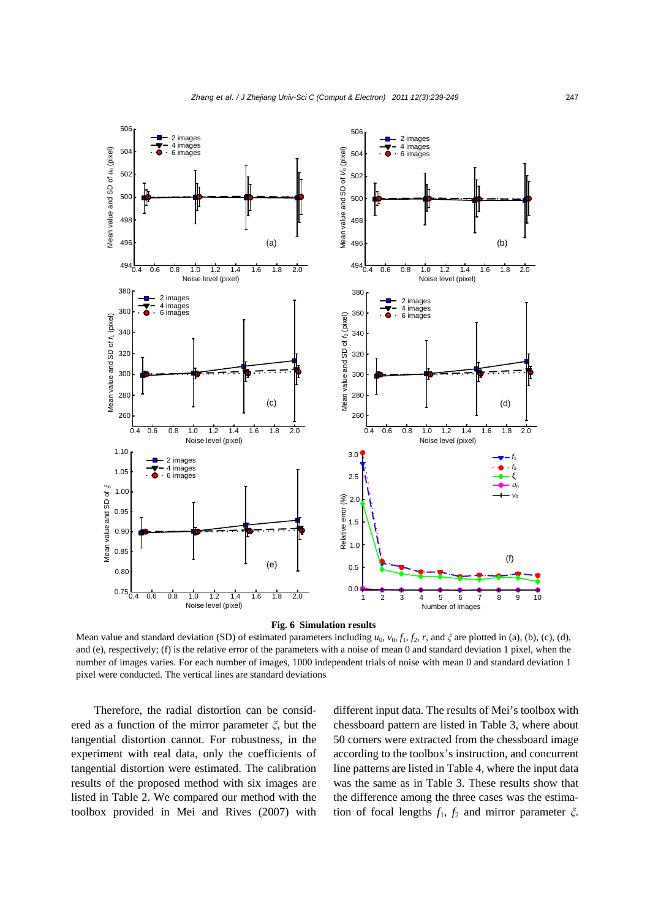

#### **Fig. 6 Simulation results**

Mean value and standard deviation (SD) of estimated parameters including  $u_0$ ,  $v_0$ ,  $f_1$ ,  $f_2$ ,  $r$ , and  $\xi$  are plotted in (a), (b), (c), (d), and (e), respectively; (f) is the relative error of the parameters with a noise of mean 0 and standard deviation 1 pixel, when the number of images varies. For each number of images, 1000 independent trials of noise with mean 0 and standard deviation 1 pixel were conducted. The vertical lines are standard deviations

Therefore, the radial distortion can be considered as a function of the mirror parameter *ξ*, but the tangential distortion cannot. For robustness, in the experiment with real data, only the coefficients of tangential distortion were estimated. The calibration results of the proposed method with six images are listed in Table 2. We compared our method with the toolbox provided in Mei and Rives (2007) with different input data. The results of Mei's toolbox with chessboard pattern are listed in Table 3, where about 50 corners were extracted from the chessboard image according to the toolbox's instruction, and concurrent line patterns are listed in Table 4, where the input data was the same as in Table 3. These results show that the difference among the three cases was the estimation of focal lengths *f*1, *f*2 and mirror parameter *ξ*.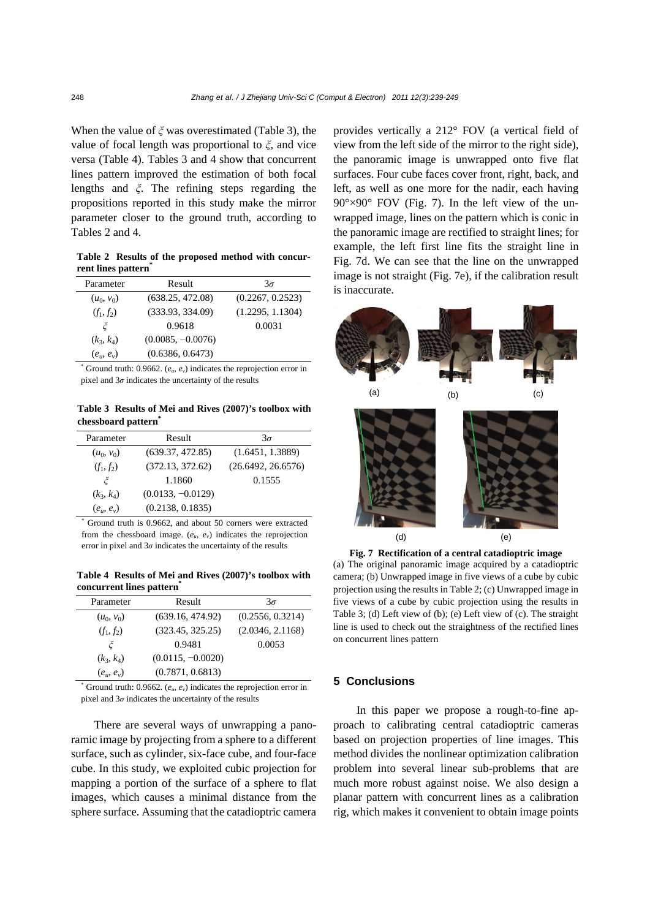When the value of *ξ* was overestimated (Table 3), the value of focal length was proportional to *ξ*, and vice versa (Table 4). Tables 3 and 4 show that concurrent lines pattern improved the estimation of both focal lengths and *ξ*. The refining steps regarding the propositions reported in this study make the mirror parameter closer to the ground truth, according to Tables 2 and 4.

**Table 2 Results of the proposed method with concurrent lines pattern\***

| Parameter    | Result              | $3\sigma$        |
|--------------|---------------------|------------------|
| $(u_0, v_0)$ | (638.25, 472.08)    | (0.2267, 0.2523) |
| $(f_1, f_2)$ | (333.93, 334.09)    | (1.2295, 1.1304) |
| Ĕ            | 0.9618              | 0.0031           |
| $(k_3, k_4)$ | $(0.0085, -0.0076)$ |                  |
| $(e_u, e_v)$ | (0.6386, 0.6473)    |                  |

 $*$  Ground truth: 0.9662.  $(e_u, e_v)$  indicates the reprojection error in pixel and  $3\sigma$  indicates the uncertainty of the results

**Table 3 Results of Mei and Rives (2007)'s toolbox with chessboard pattern\***

| Parameter    | Result              | $3\sigma$          |
|--------------|---------------------|--------------------|
| $(u_0, v_0)$ | (639.37, 472.85)    | (1.6451, 1.3889)   |
| $(f_1, f_2)$ | (372.13, 372.62)    | (26.6492, 26.6576) |
| بخ           | 1.1860              | 0.1555             |
| $(k_3, k_4)$ | $(0.0133, -0.0129)$ |                    |
| $(e_u, e_v)$ | (0.2138, 0.1835)    |                    |

\* Ground truth is 0.9662, and about 50 corners were extracted from the chessboard image. (*eu*, *ev*) indicates the reprojection error in pixel and  $3\sigma$  indicates the uncertainty of the results

**Table 4 Results of Mei and Rives (2007)'s toolbox with concurrent lines pattern\***

| Parameter        | Result              | $3\sigma$        |
|------------------|---------------------|------------------|
| $(u_0, v_0)$     | (639.16, 474.92)    | (0.2556, 0.3214) |
| $(f_1, f_2)$     | (323.45, 325.25)    | (2.0346, 2.1168) |
| Ĕ                | 0.9481              | 0.0053           |
| $(k_3, k_4)$     | $(0.0115, -0.0020)$ |                  |
| $(e_{u}, e_{v})$ | (0.7871, 0.6813)    |                  |

 $*$  Ground truth: 0.9662.  $(e_u, e_v)$  indicates the reprojection error in pixel and  $3\sigma$  indicates the uncertainty of the results

There are several ways of unwrapping a panoramic image by projecting from a sphere to a different surface, such as cylinder, six-face cube, and four-face cube. In this study, we exploited cubic projection for mapping a portion of the surface of a sphere to flat images, which causes a minimal distance from the sphere surface. Assuming that the catadioptric camera provides vertically a 212° FOV (a vertical field of view from the left side of the mirror to the right side), the panoramic image is unwrapped onto five flat surfaces. Four cube faces cover front, right, back, and left, as well as one more for the nadir, each having  $90^{\circ} \times 90^{\circ}$  FOV (Fig. 7). In the left view of the unwrapped image, lines on the pattern which is conic in the panoramic image are rectified to straight lines; for example, the left first line fits the straight line in Fig. 7d. We can see that the line on the unwrapped image is not straight (Fig. 7e), if the calibration result is inaccurate.



**Fig. 7 Rectification of a central catadioptric image**  (a) The original panoramic image acquired by a catadioptric camera; (b) Unwrapped image in five views of a cube by cubic projection using the results in Table 2; (c) Unwrapped image in five views of a cube by cubic projection using the results in Table 3; (d) Left view of (b); (e) Left view of (c). The straight line is used to check out the straightness of the rectified lines on concurrent lines pattern

## **5 Conclusions**

In this paper we propose a rough-to-fine approach to calibrating central catadioptric cameras based on projection properties of line images. This method divides the nonlinear optimization calibration problem into several linear sub-problems that are much more robust against noise. We also design a planar pattern with concurrent lines as a calibration rig, which makes it convenient to obtain image points